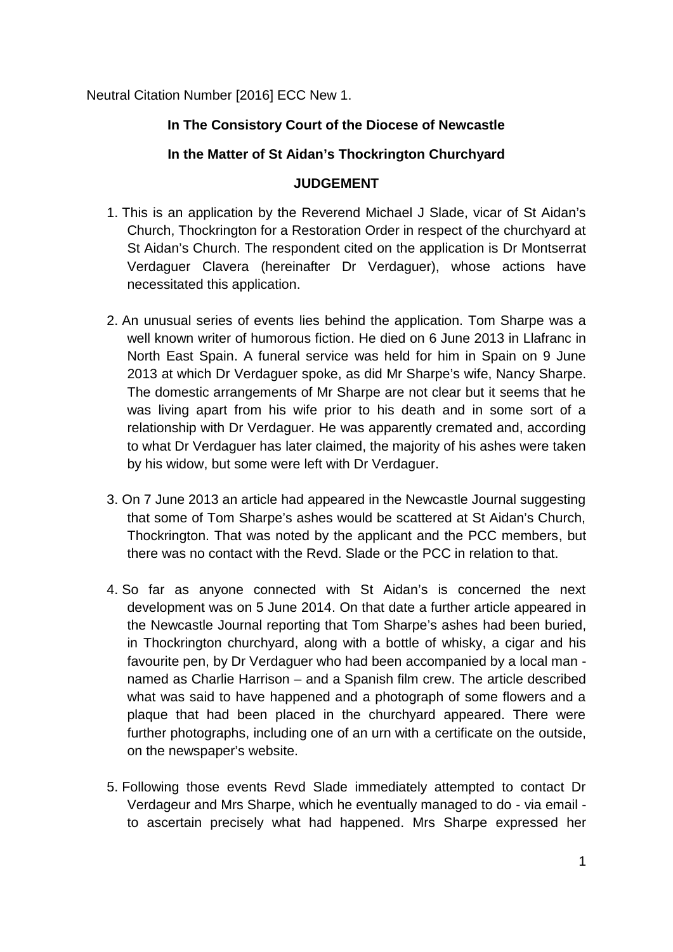Neutral Citation Number [2016] ECC New 1.

## **In The Consistory Court of the Diocese of Newcastle**

## **In the Matter of St Aidan's Thockrington Churchyard**

## **JUDGEMENT**

- 1. This is an application by the Reverend Michael J Slade, vicar of St Aidan's Church, Thockrington for a Restoration Order in respect of the churchyard at St Aidan's Church. The respondent cited on the application is Dr Montserrat Verdaguer Clavera (hereinafter Dr Verdaguer), whose actions have necessitated this application.
- 2. An unusual series of events lies behind the application. Tom Sharpe was a well known writer of humorous fiction. He died on 6 June 2013 in Llafranc in North East Spain. A funeral service was held for him in Spain on 9 June 2013 at which Dr Verdaguer spoke, as did Mr Sharpe's wife, Nancy Sharpe. The domestic arrangements of Mr Sharpe are not clear but it seems that he was living apart from his wife prior to his death and in some sort of a relationship with Dr Verdaguer. He was apparently cremated and, according to what Dr Verdaguer has later claimed, the majority of his ashes were taken by his widow, but some were left with Dr Verdaguer.
- 3. On 7 June 2013 an article had appeared in the Newcastle Journal suggesting that some of Tom Sharpe's ashes would be scattered at St Aidan's Church, Thockrington. That was noted by the applicant and the PCC members, but there was no contact with the Revd. Slade or the PCC in relation to that.
- 4. So far as anyone connected with St Aidan's is concerned the next development was on 5 June 2014. On that date a further article appeared in the Newcastle Journal reporting that Tom Sharpe's ashes had been buried, in Thockrington churchyard, along with a bottle of whisky, a cigar and his favourite pen, by Dr Verdaguer who had been accompanied by a local man named as Charlie Harrison – and a Spanish film crew. The article described what was said to have happened and a photograph of some flowers and a plaque that had been placed in the churchyard appeared. There were further photographs, including one of an urn with a certificate on the outside, on the newspaper's website.
- 5. Following those events Revd Slade immediately attempted to contact Dr Verdageur and Mrs Sharpe, which he eventually managed to do - via email to ascertain precisely what had happened. Mrs Sharpe expressed her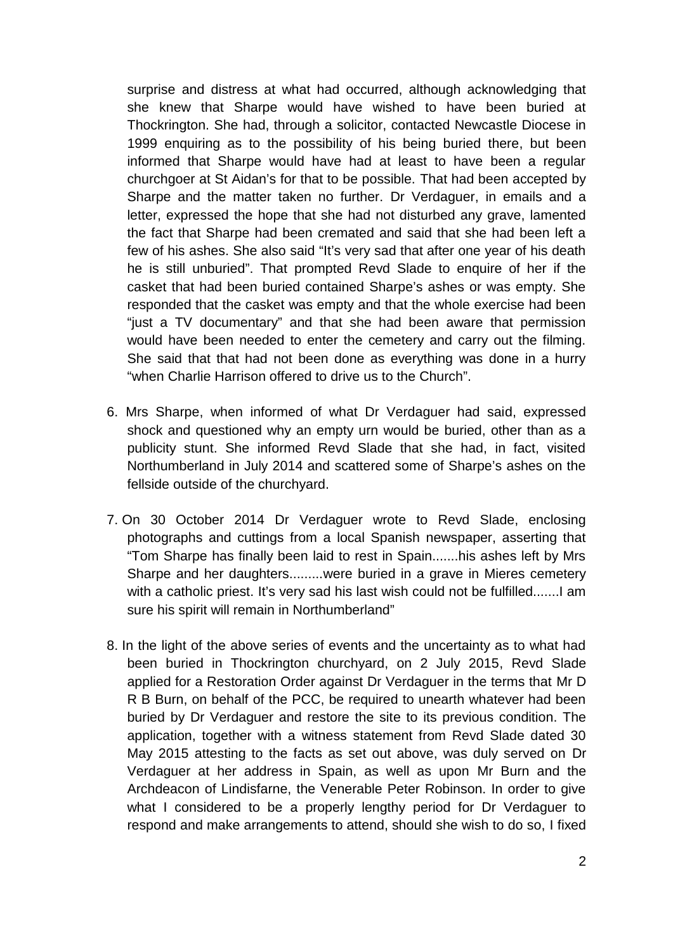surprise and distress at what had occurred, although acknowledging that she knew that Sharpe would have wished to have been buried at Thockrington. She had, through a solicitor, contacted Newcastle Diocese in 1999 enquiring as to the possibility of his being buried there, but been informed that Sharpe would have had at least to have been a regular churchgoer at St Aidan's for that to be possible. That had been accepted by Sharpe and the matter taken no further. Dr Verdaguer, in emails and a letter, expressed the hope that she had not disturbed any grave, lamented the fact that Sharpe had been cremated and said that she had been left a few of his ashes. She also said "It's very sad that after one year of his death he is still unburied". That prompted Revd Slade to enquire of her if the casket that had been buried contained Sharpe's ashes or was empty. She responded that the casket was empty and that the whole exercise had been "just a TV documentary" and that she had been aware that permission would have been needed to enter the cemetery and carry out the filming. She said that that had not been done as everything was done in a hurry "when Charlie Harrison offered to drive us to the Church".

- 6. Mrs Sharpe, when informed of what Dr Verdaguer had said, expressed shock and questioned why an empty urn would be buried, other than as a publicity stunt. She informed Revd Slade that she had, in fact, visited Northumberland in July 2014 and scattered some of Sharpe's ashes on the fellside outside of the churchyard.
- 7. On 30 October 2014 Dr Verdaguer wrote to Revd Slade, enclosing photographs and cuttings from a local Spanish newspaper, asserting that "Tom Sharpe has finally been laid to rest in Spain.......his ashes left by Mrs Sharpe and her daughters.........were buried in a grave in Mieres cemetery with a catholic priest. It's very sad his last wish could not be fulfilled........ I am sure his spirit will remain in Northumberland"
- 8. In the light of the above series of events and the uncertainty as to what had been buried in Thockrington churchyard, on 2 July 2015, Revd Slade applied for a Restoration Order against Dr Verdaguer in the terms that Mr D R B Burn, on behalf of the PCC, be required to unearth whatever had been buried by Dr Verdaguer and restore the site to its previous condition. The application, together with a witness statement from Revd Slade dated 30 May 2015 attesting to the facts as set out above, was duly served on Dr Verdaguer at her address in Spain, as well as upon Mr Burn and the Archdeacon of Lindisfarne, the Venerable Peter Robinson. In order to give what I considered to be a properly lengthy period for Dr Verdaguer to respond and make arrangements to attend, should she wish to do so, I fixed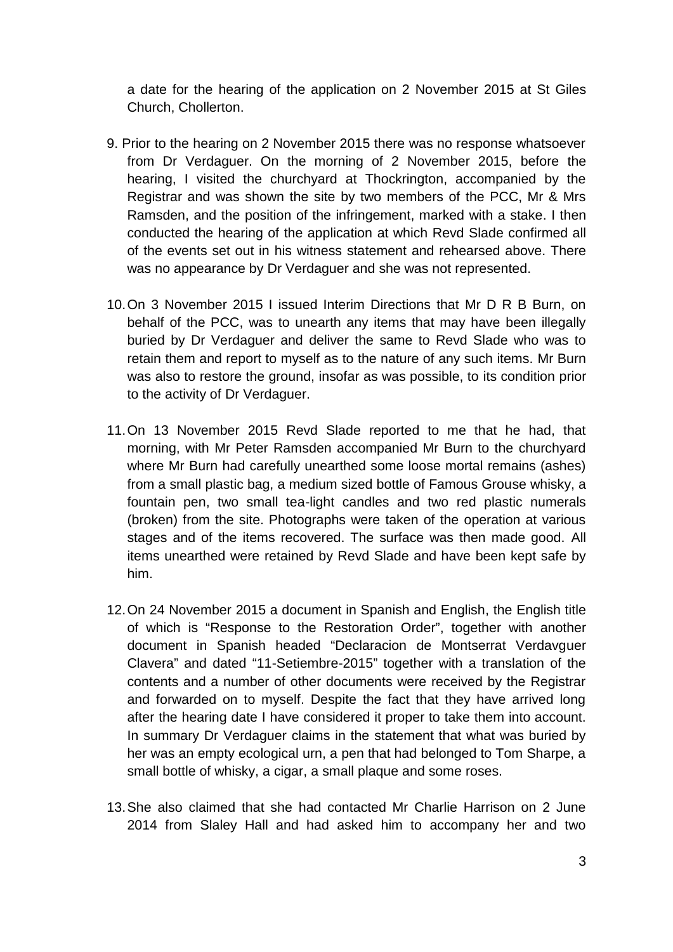a date for the hearing of the application on 2 November 2015 at St Giles Church, Chollerton.

- 9. Prior to the hearing on 2 November 2015 there was no response whatsoever from Dr Verdaguer. On the morning of 2 November 2015, before the hearing, I visited the churchyard at Thockrington, accompanied by the Registrar and was shown the site by two members of the PCC, Mr & Mrs Ramsden, and the position of the infringement, marked with a stake. I then conducted the hearing of the application at which Revd Slade confirmed all of the events set out in his witness statement and rehearsed above. There was no appearance by Dr Verdaguer and she was not represented.
- 10.On 3 November 2015 I issued Interim Directions that Mr D R B Burn, on behalf of the PCC, was to unearth any items that may have been illegally buried by Dr Verdaguer and deliver the same to Revd Slade who was to retain them and report to myself as to the nature of any such items. Mr Burn was also to restore the ground, insofar as was possible, to its condition prior to the activity of Dr Verdaguer.
- 11.On 13 November 2015 Revd Slade reported to me that he had, that morning, with Mr Peter Ramsden accompanied Mr Burn to the churchyard where Mr Burn had carefully unearthed some loose mortal remains (ashes) from a small plastic bag, a medium sized bottle of Famous Grouse whisky, a fountain pen, two small tea-light candles and two red plastic numerals (broken) from the site. Photographs were taken of the operation at various stages and of the items recovered. The surface was then made good. All items unearthed were retained by Revd Slade and have been kept safe by him.
- 12.On 24 November 2015 a document in Spanish and English, the English title of which is "Response to the Restoration Order", together with another document in Spanish headed "Declaracion de Montserrat Verdavguer Clavera" and dated "11-Setiembre-2015" together with a translation of the contents and a number of other documents were received by the Registrar and forwarded on to myself. Despite the fact that they have arrived long after the hearing date I have considered it proper to take them into account. In summary Dr Verdaguer claims in the statement that what was buried by her was an empty ecological urn, a pen that had belonged to Tom Sharpe, a small bottle of whisky, a cigar, a small plaque and some roses.
- 13.She also claimed that she had contacted Mr Charlie Harrison on 2 June 2014 from Slaley Hall and had asked him to accompany her and two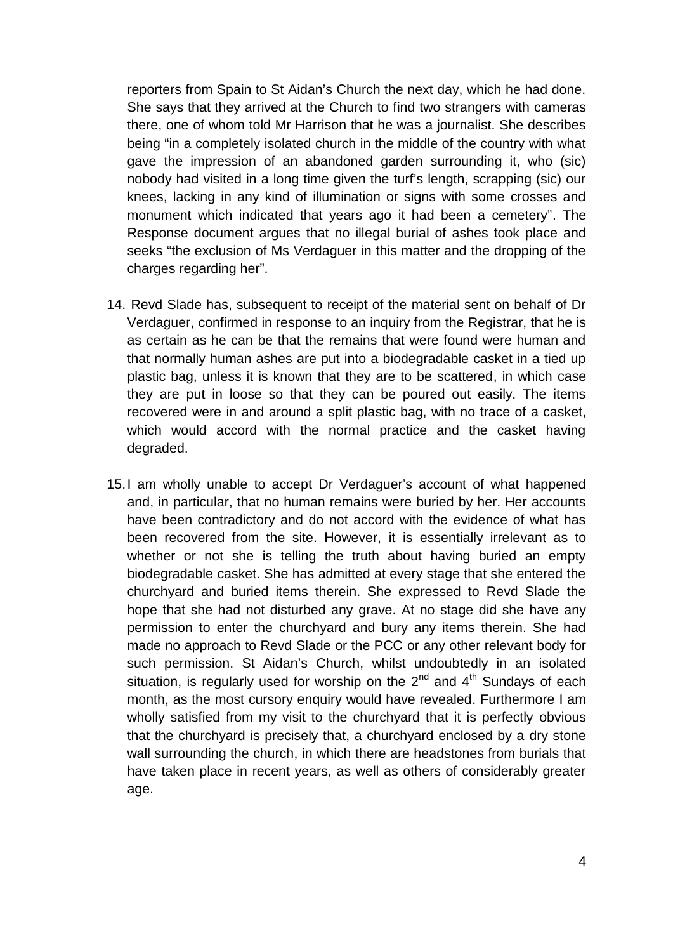reporters from Spain to St Aidan's Church the next day, which he had done. She says that they arrived at the Church to find two strangers with cameras there, one of whom told Mr Harrison that he was a journalist. She describes being "in a completely isolated church in the middle of the country with what gave the impression of an abandoned garden surrounding it, who (sic) nobody had visited in a long time given the turf's length, scrapping (sic) our knees, lacking in any kind of illumination or signs with some crosses and monument which indicated that years ago it had been a cemetery". The Response document argues that no illegal burial of ashes took place and seeks "the exclusion of Ms Verdaguer in this matter and the dropping of the charges regarding her".

- 14. Revd Slade has, subsequent to receipt of the material sent on behalf of Dr Verdaguer, confirmed in response to an inquiry from the Registrar, that he is as certain as he can be that the remains that were found were human and that normally human ashes are put into a biodegradable casket in a tied up plastic bag, unless it is known that they are to be scattered, in which case they are put in loose so that they can be poured out easily. The items recovered were in and around a split plastic bag, with no trace of a casket, which would accord with the normal practice and the casket having degraded.
- 15.I am wholly unable to accept Dr Verdaguer's account of what happened and, in particular, that no human remains were buried by her. Her accounts have been contradictory and do not accord with the evidence of what has been recovered from the site. However, it is essentially irrelevant as to whether or not she is telling the truth about having buried an empty biodegradable casket. She has admitted at every stage that she entered the churchyard and buried items therein. She expressed to Revd Slade the hope that she had not disturbed any grave. At no stage did she have any permission to enter the churchyard and bury any items therein. She had made no approach to Revd Slade or the PCC or any other relevant body for such permission. St Aidan's Church, whilst undoubtedly in an isolated situation, is regularly used for worship on the  $2^{nd}$  and  $4^{th}$  Sundays of each month, as the most cursory enquiry would have revealed. Furthermore I am wholly satisfied from my visit to the churchyard that it is perfectly obvious that the churchyard is precisely that, a churchyard enclosed by a dry stone wall surrounding the church, in which there are headstones from burials that have taken place in recent years, as well as others of considerably greater age.